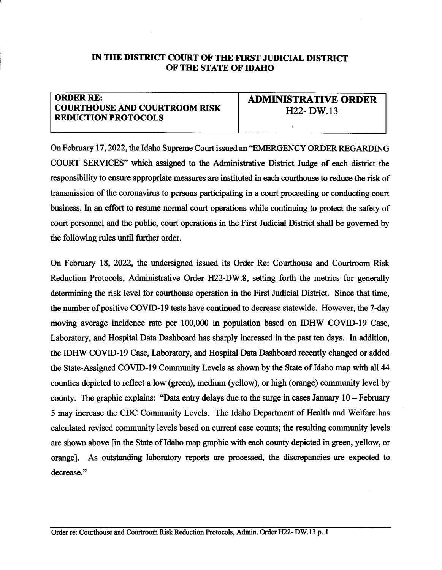## IN THE DISTRICT COURT OF THE FIRST JUDICIAL DISTRICT OF THE STATE OF IDAHO

## ORDER RE: **COURTHOUSE AND COURTROOM RISK** REDUCTION PROTOCOLS

ADMIMSTRATTVE ORDER H22- DW.13

I

On February 17, 2022, the Idaho Supreme Court issued an "EMERGENCY ORDER REGARDING" COURT SERVICES' which assigned to the Administative Distict Judge of each distict the responsibility to ensure appropriate measures are instituted in each courthouse to reduce the risk of transmission of the coronavirus to persons participating in a court proceeding or conducting court business. In an effort to resume normal court operations while continuing to protect the safety of court personnel and the public, court operations in the First Judicial District shall be governed by the following rules until further order.

On February 18,2022, the undersigred issued its Order Re: Courthouse and Courtroom Risk Reduction Protocols, Administative Order H22-DW.8, setting forth the metrics for generally determining the risk level for courthouse operation in the First Judicial District. Since that time, the number of positive COVID-19 tests have continued to decrease statewide. However, the 7-day moving average incidence rate per 100,000 in population based on IDHW COVID-I9 Case, Laboratory, and Hospital Data Dashboard has sharply increased in the past ten days. In addition, the IDHW COVID-I9 Case, Laboratory, and Hospital Data Dashboard recently changed or added the State-Assigned COVID-19 Community Levels as shown by the State of Idaho map with all 44 counties depicted to reflect a low (green), medium (yellow), or high (orange) community level by county. The graphic explains: "Data entry delays due to the surge in cases January  $10 - Fe$  bruary 5 may increase the CDC Community Levels. The Idaho Department of Health and Welfare has calculated revised community levels based on current case counts; the resulting community levels are shown above [in the State of Idaho map graphic with each county depicted in green, yellow, or orange]. As outstanding laboratory reports are processed, the discrepancies are expected to decrease."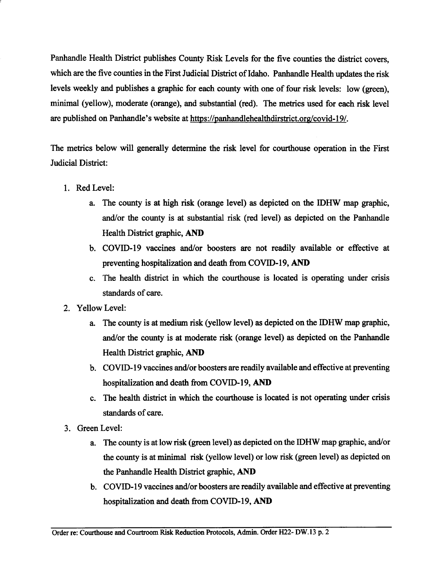Panhandle Health District publishes County Risk Levels for the five counties the district covers, which are the five counties in the First Judicial District of Idaho. Panhandle Health updates the risk levels weekly and publishes a graphic for each county with one of four risk levels: low (green), minimal (yellow), moderate (orange), and substantial (red). The metrics used for each risk level are published on Panhandle's website at https://panhandlehealthdirstrict.org/covid-19/.

The metics below will generally determine the risk level for courthouse operation in the First Judicial District:

- l. Red Level:
	- a. The county is at high risk (orange level) as depicted on the IDHW map graphic, and/or the county is at substantial risk (red level) as depicted on the Panhandle Health District graphic, AND
	- b. COVID-I9 vaccines and/or boosters are not readily available or effective at preventing hospitalization and death from COVID-I9, AND
	- c. The health district in which the courthouse is located is operating under crisis standards of care.
- 2. Yellow Level:
	- a. The county is at medium risk (yellow level) as depicted on the IDHW map graphic, and/or the county is at moderate risk (orange level) as depicted on the Panhandle Health District graphic, AND
	- b. COVID-I9 vaccines and/or boosters are readily available and effective at preventing hospitalization and death from COVID-I9, AND
	- c. The health distict in which the courthouse is located is not operating under crisis standards of care.
- 3. Green Level:
	- a. The county is at low risk (green level) as depicted on the IDHW map graphic, and/or the county is at minimal risk (yellow level) or low risk (green level) as depicted on the Panhandle Health District graphic, AND
	- b. COVID-19 vaccines and/or boosters are readily available and effective at preventing hospitalization and death from COVID-19, AND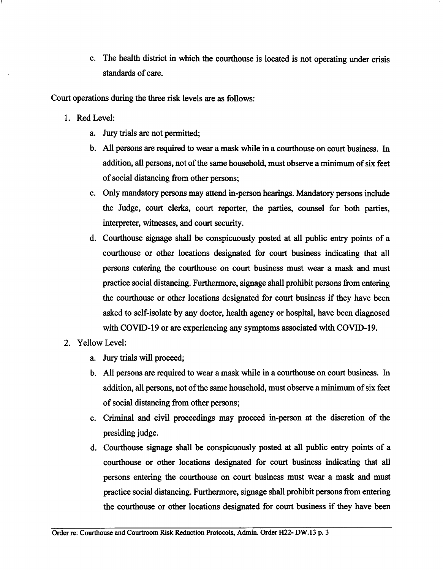c. The health distict in which the courthouse is located is not operating under crisis standards of care.

Court operations during the three risk levels are as follows:

- l. Red Level:
	- a. Jury trials are not permitted;
	- b. All persons are required to wear a mask while in a courthouse on court business. In addition, all persons, not of the same household, must observe a minimum of six feet of social distancing from other persons;
	- c. Only mandatory persons may attend in-person hearings. Mandatory personsi include the Judge, court clerks, court reporter, the parties, counsel for both parties, interpreter, witnesses, and court security.
	- d. Courthouse signage shall be conspicuously posted at all public entry points of a courthouse or other locations designated for court business indicating that all persons entering the courthouse on court business must wear a mask and must practice social distancing. Furthemrore, signage shall prohibit persons from entering the courthouse or other locations designated for cout business if they have been asked to self-isolate by any doctor, health agency or hospital, have been diagnosed with COVID-19 or are experiencing any symptoms associated with COVID-19.
- 2. Yellow Level:
	- a. Jury trials will proceed;
	- b. All persons are required to wear a mask while in a courthouse on court business. In addition, all persons, not of the same household, must observe a minimum of six feet of social distancing from other persons;
	- c. Criminal and civil proceedings may proceed in-person at the discretion of the presiding judge.
	- d. Courthouse signage shall be conspicuously posted at all public entry points of <sup>a</sup> courthouse or other locations designated for court business indicating that all persons entering the courthouse on court business must wear a mask and must practice social distancing. Furthermore, signage shall prohibit persons from entering the courthouse or other locations designated for court business if they have been